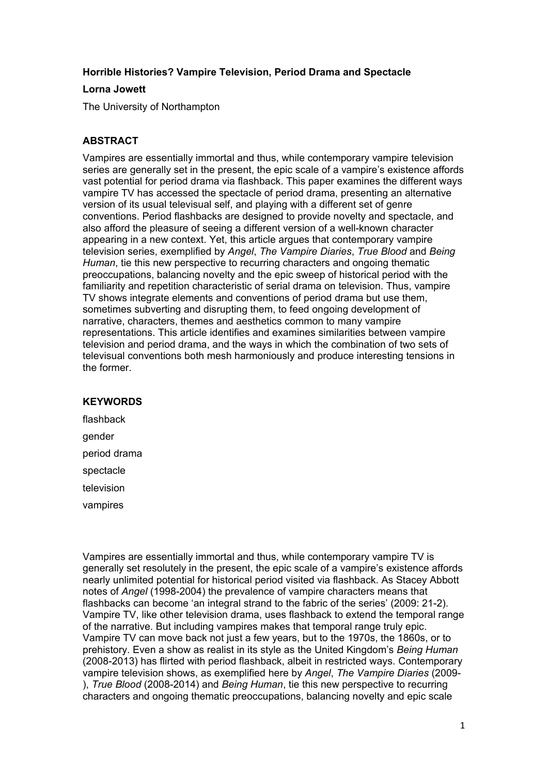## **Horrible Histories? Vampire Television, Period Drama and Spectacle**

### **Lorna Jowett**

The University of Northampton

# **ABSTRACT**

Vampires are essentially immortal and thus, while contemporary vampire television series are generally set in the present, the epic scale of a vampire's existence affords vast potential for period drama via flashback. This paper examines the different ways vampire TV has accessed the spectacle of period drama, presenting an alternative version of its usual televisual self, and playing with a different set of genre conventions. Period flashbacks are designed to provide novelty and spectacle, and also afford the pleasure of seeing a different version of a well-known character appearing in a new context. Yet, this article argues that contemporary vampire television series, exemplified by *Angel*, *The Vampire Diaries*, *True Blood* and *Being Human*, tie this new perspective to recurring characters and ongoing thematic preoccupations, balancing novelty and the epic sweep of historical period with the familiarity and repetition characteristic of serial drama on television. Thus, vampire TV shows integrate elements and conventions of period drama but use them, sometimes subverting and disrupting them, to feed ongoing development of narrative, characters, themes and aesthetics common to many vampire representations. This article identifies and examines similarities between vampire television and period drama, and the ways in which the combination of two sets of televisual conventions both mesh harmoniously and produce interesting tensions in the former.

### **KEYWORDS**

flashback gender period drama spectacle television vampires

Vampires are essentially immortal and thus, while contemporary vampire TV is generally set resolutely in the present, the epic scale of a vampire's existence affords nearly unlimited potential for historical period visited via flashback. As Stacey Abbott notes of *Angel* (1998-2004) the prevalence of vampire characters means that flashbacks can become 'an integral strand to the fabric of the series' (2009: 21-2). Vampire TV, like other television drama, uses flashback to extend the temporal range of the narrative. But including vampires makes that temporal range truly epic. Vampire TV can move back not just a few years, but to the 1970s, the 1860s, or to prehistory. Even a show as realist in its style as the United Kingdom's *Being Human* (2008-2013) has flirted with period flashback, albeit in restricted ways. Contemporary vampire television shows, as exemplified here by *Angel*, *The Vampire Diaries* (2009- ), *True Blood* (2008-2014) and *Being Human*, tie this new perspective to recurring characters and ongoing thematic preoccupations, balancing novelty and epic scale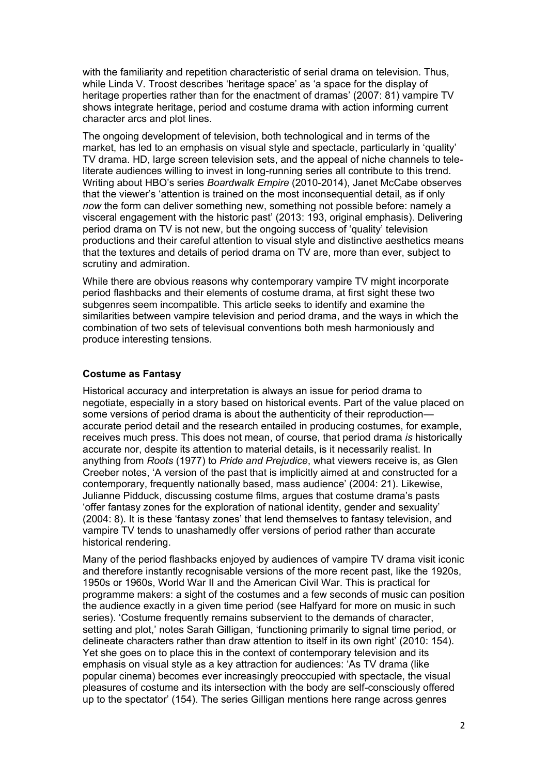with the familiarity and repetition characteristic of serial drama on television. Thus, while Linda V. Troost describes 'heritage space' as 'a space for the display of heritage properties rather than for the enactment of dramas' (2007: 81) vampire TV shows integrate heritage, period and costume drama with action informing current character arcs and plot lines.

The ongoing development of television, both technological and in terms of the market, has led to an emphasis on visual style and spectacle, particularly in 'quality' TV drama. HD, large screen television sets, and the appeal of niche channels to teleliterate audiences willing to invest in long-running series all contribute to this trend. Writing about HBO's series *Boardwalk Empire* (2010-2014), Janet McCabe observes that the viewer's 'attention is trained on the most inconsequential detail, as if only *now* the form can deliver something new, something not possible before: namely a visceral engagement with the historic past' (2013: 193, original emphasis). Delivering period drama on TV is not new, but the ongoing success of 'quality' television productions and their careful attention to visual style and distinctive aesthetics means that the textures and details of period drama on TV are, more than ever, subject to scrutiny and admiration.

While there are obvious reasons why contemporary vampire TV might incorporate period flashbacks and their elements of costume drama, at first sight these two subgenres seem incompatible. This article seeks to identify and examine the similarities between vampire television and period drama, and the ways in which the combination of two sets of televisual conventions both mesh harmoniously and produce interesting tensions.

### **Costume as Fantasy**

Historical accuracy and interpretation is always an issue for period drama to negotiate, especially in a story based on historical events. Part of the value placed on some versions of period drama is about the authenticity of their reproduction accurate period detail and the research entailed in producing costumes, for example, receives much press. This does not mean, of course, that period drama *is* historically accurate nor, despite its attention to material details, is it necessarily realist. In anything from *Roots* (1977) to *Pride and Prejudice*, what viewers receive is, as Glen Creeber notes, 'A version of the past that is implicitly aimed at and constructed for a contemporary, frequently nationally based, mass audience' (2004: 21). Likewise, Julianne Pidduck, discussing costume films, argues that costume drama's pasts 'offer fantasy zones for the exploration of national identity, gender and sexuality' (2004: 8). It is these 'fantasy zones' that lend themselves to fantasy television, and vampire TV tends to unashamedly offer versions of period rather than accurate historical rendering.

Many of the period flashbacks enjoyed by audiences of vampire TV drama visit iconic and therefore instantly recognisable versions of the more recent past, like the 1920s, 1950s or 1960s, World War II and the American Civil War. This is practical for programme makers: a sight of the costumes and a few seconds of music can position the audience exactly in a given time period (see Halfyard for more on music in such series). 'Costume frequently remains subservient to the demands of character, setting and plot,' notes Sarah Gilligan, 'functioning primarily to signal time period, or delineate characters rather than draw attention to itself in its own right' (2010: 154). Yet she goes on to place this in the context of contemporary television and its emphasis on visual style as a key attraction for audiences: 'As TV drama (like popular cinema) becomes ever increasingly preoccupied with spectacle, the visual pleasures of costume and its intersection with the body are self-consciously offered up to the spectator' (154). The series Gilligan mentions here range across genres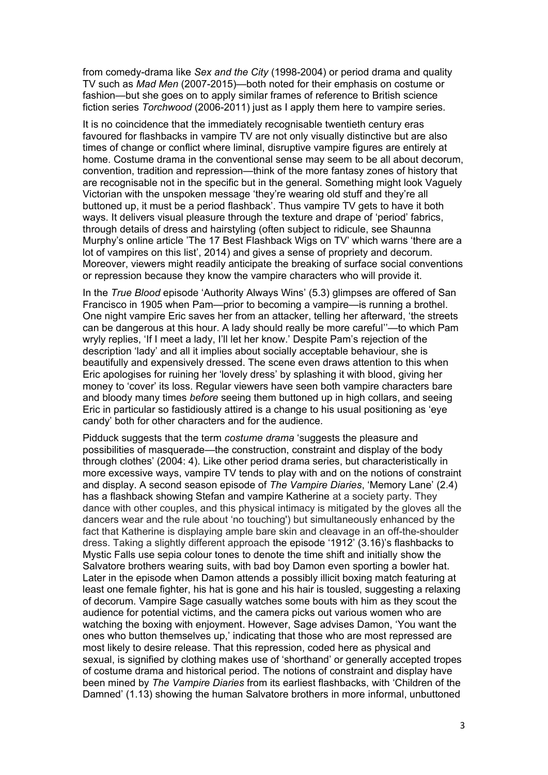from comedy-drama like *Sex and the City* (1998-2004) or period drama and quality TV such as *Mad Men* (2007-2015)—both noted for their emphasis on costume or fashion—but she goes on to apply similar frames of reference to British science fiction series *Torchwood* (2006-2011) just as I apply them here to vampire series.

It is no coincidence that the immediately recognisable twentieth century eras favoured for flashbacks in vampire TV are not only visually distinctive but are also times of change or conflict where liminal, disruptive vampire figures are entirely at home. Costume drama in the conventional sense may seem to be all about decorum, convention, tradition and repression—think of the more fantasy zones of history that are recognisable not in the specific but in the general. Something might look Vaguely Victorian with the unspoken message 'they're wearing old stuff and they're all buttoned up, it must be a period flashback'. Thus vampire TV gets to have it both ways. It delivers visual pleasure through the texture and drape of 'period' fabrics, through details of dress and hairstyling (often subject to ridicule, see Shaunna Murphy's online article 'The 17 Best Flashback Wigs on TV' which warns 'there are a lot of vampires on this list', 2014) and gives a sense of propriety and decorum. Moreover, viewers might readily anticipate the breaking of surface social conventions or repression because they know the vampire characters who will provide it.

In the *True Blood* episode 'Authority Always Wins' (5.3) glimpses are offered of San Francisco in 1905 when Pam—prior to becoming a vampire—is running a brothel. One night vampire Eric saves her from an attacker, telling her afterward, 'the streets can be dangerous at this hour. A lady should really be more careful''—to which Pam wryly replies, 'If I meet a lady, I'll let her know.' Despite Pam's rejection of the description 'lady' and all it implies about socially acceptable behaviour, she is beautifully and expensively dressed. The scene even draws attention to this when Eric apologises for ruining her 'lovely dress' by splashing it with blood, giving her money to 'cover' its loss. Regular viewers have seen both vampire characters bare and bloody many times *before* seeing them buttoned up in high collars, and seeing Eric in particular so fastidiously attired is a change to his usual positioning as 'eye candy' both for other characters and for the audience.

Pidduck suggests that the term *costume drama* 'suggests the pleasure and possibilities of masquerade—the construction, constraint and display of the body through clothes' (2004: 4). Like other period drama series, but characteristically in more excessive ways, vampire TV tends to play with and on the notions of constraint and display. A second season episode of *The Vampire Diaries*, 'Memory Lane' (2.4) has a flashback showing Stefan and vampire Katherine at a society party. They dance with other couples, and this physical intimacy is mitigated by the gloves all the dancers wear and the rule about 'no touching') but simultaneously enhanced by the fact that Katherine is displaying ample bare skin and cleavage in an off-the-shoulder dress. Taking a slightly different approach the episode '1912' (3.16)'s flashbacks to Mystic Falls use sepia colour tones to denote the time shift and initially show the Salvatore brothers wearing suits, with bad boy Damon even sporting a bowler hat. Later in the episode when Damon attends a possibly illicit boxing match featuring at least one female fighter, his hat is gone and his hair is tousled, suggesting a relaxing of decorum. Vampire Sage casually watches some bouts with him as they scout the audience for potential victims, and the camera picks out various women who are watching the boxing with enjoyment. However, Sage advises Damon, 'You want the ones who button themselves up,' indicating that those who are most repressed are most likely to desire release. That this repression, coded here as physical and sexual, is signified by clothing makes use of 'shorthand' or generally accepted tropes of costume drama and historical period. The notions of constraint and display have been mined by *The Vampire Diaries* from its earliest flashbacks, with 'Children of the Damned' (1.13) showing the human Salvatore brothers in more informal, unbuttoned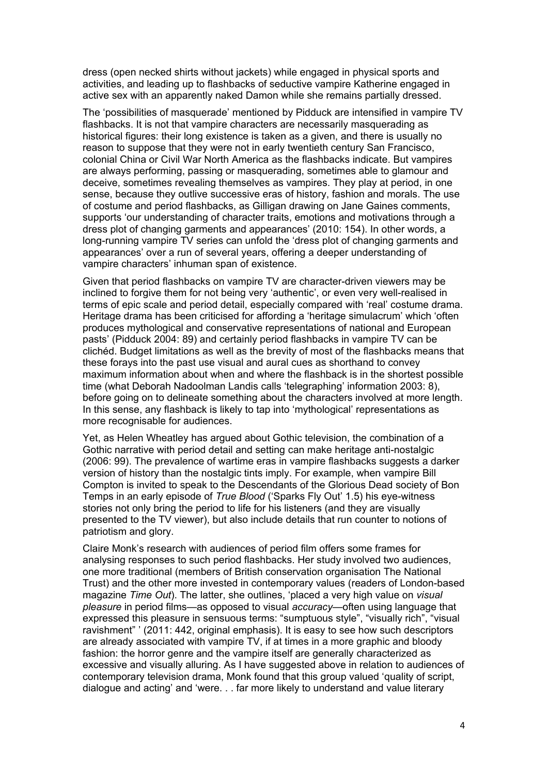dress (open necked shirts without jackets) while engaged in physical sports and activities, and leading up to flashbacks of seductive vampire Katherine engaged in active sex with an apparently naked Damon while she remains partially dressed.

The 'possibilities of masquerade' mentioned by Pidduck are intensified in vampire TV flashbacks. It is not that vampire characters are necessarily masquerading as historical figures: their long existence is taken as a given, and there is usually no reason to suppose that they were not in early twentieth century San Francisco, colonial China or Civil War North America as the flashbacks indicate. But vampires are always performing, passing or masquerading, sometimes able to glamour and deceive, sometimes revealing themselves as vampires. They play at period, in one sense, because they outlive successive eras of history, fashion and morals. The use of costume and period flashbacks, as Gilligan drawing on Jane Gaines comments, supports 'our understanding of character traits, emotions and motivations through a dress plot of changing garments and appearances' (2010: 154). In other words, a long-running vampire TV series can unfold the 'dress plot of changing garments and appearances' over a run of several years, offering a deeper understanding of vampire characters' inhuman span of existence.

Given that period flashbacks on vampire TV are character-driven viewers may be inclined to forgive them for not being very 'authentic', or even very well-realised in terms of epic scale and period detail, especially compared with 'real' costume drama. Heritage drama has been criticised for affording a 'heritage simulacrum' which 'often produces mythological and conservative representations of national and European pasts' (Pidduck 2004: 89) and certainly period flashbacks in vampire TV can be clichéd. Budget limitations as well as the brevity of most of the flashbacks means that these forays into the past use visual and aural cues as shorthand to convey maximum information about when and where the flashback is in the shortest possible time (what Deborah Nadoolman Landis calls 'telegraphing' information 2003: 8), before going on to delineate something about the characters involved at more length. In this sense, any flashback is likely to tap into 'mythological' representations as more recognisable for audiences.

Yet, as Helen Wheatley has argued about Gothic television, the combination of a Gothic narrative with period detail and setting can make heritage anti-nostalgic (2006: 99). The prevalence of wartime eras in vampire flashbacks suggests a darker version of history than the nostalgic tints imply. For example, when vampire Bill Compton is invited to speak to the Descendants of the Glorious Dead society of Bon Temps in an early episode of *True Blood* ('Sparks Fly Out' 1.5) his eye-witness stories not only bring the period to life for his listeners (and they are visually presented to the TV viewer), but also include details that run counter to notions of patriotism and glory.

Claire Monk's research with audiences of period film offers some frames for analysing responses to such period flashbacks. Her study involved two audiences, one more traditional (members of British conservation organisation The National Trust) and the other more invested in contemporary values (readers of London-based magazine *Time Out*). The latter, she outlines, 'placed a very high value on *visual pleasure* in period films—as opposed to visual *accuracy—*often using language that expressed this pleasure in sensuous terms: "sumptuous style", "visually rich", "visual ravishment" ' (2011: 442, original emphasis). It is easy to see how such descriptors are already associated with vampire TV, if at times in a more graphic and bloody fashion: the horror genre and the vampire itself are generally characterized as excessive and visually alluring. As I have suggested above in relation to audiences of contemporary television drama, Monk found that this group valued 'quality of script, dialogue and acting' and 'were. . . far more likely to understand and value literary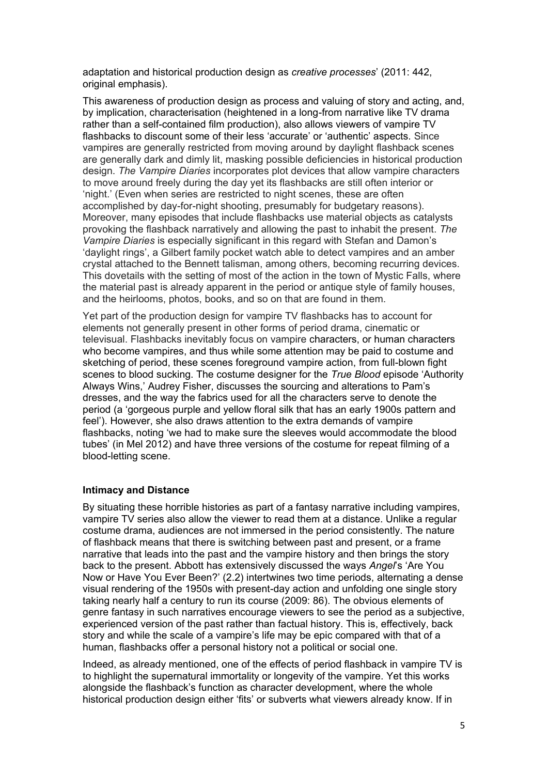adaptation and historical production design as *creative processes*' (2011: 442, original emphasis).

This awareness of production design as process and valuing of story and acting, and, by implication, characterisation (heightened in a long-from narrative like TV drama rather than a self-contained film production), also allows viewers of vampire TV flashbacks to discount some of their less 'accurate' or 'authentic' aspects. Since vampires are generally restricted from moving around by daylight flashback scenes are generally dark and dimly lit, masking possible deficiencies in historical production design. *The Vampire Diaries* incorporates plot devices that allow vampire characters to move around freely during the day yet its flashbacks are still often interior or 'night.' (Even when series are restricted to night scenes, these are often accomplished by day-for-night shooting, presumably for budgetary reasons). Moreover, many episodes that include flashbacks use material objects as catalysts provoking the flashback narratively and allowing the past to inhabit the present. *The Vampire Diaries* is especially significant in this regard with Stefan and Damon's 'daylight rings', a Gilbert family pocket watch able to detect vampires and an amber crystal attached to the Bennett talisman, among others, becoming recurring devices. This dovetails with the setting of most of the action in the town of Mystic Falls, where the material past is already apparent in the period or antique style of family houses, and the heirlooms, photos, books, and so on that are found in them.

Yet part of the production design for vampire TV flashbacks has to account for elements not generally present in other forms of period drama, cinematic or televisual. Flashbacks inevitably focus on vampire characters, or human characters who become vampires, and thus while some attention may be paid to costume and sketching of period, these scenes foreground vampire action, from full-blown fight scenes to blood sucking. The costume designer for the *True Blood* episode 'Authority Always Wins,' Audrey Fisher, discusses the sourcing and alterations to Pam's dresses, and the way the fabrics used for all the characters serve to denote the period (a 'gorgeous purple and yellow floral silk that has an early 1900s pattern and feel'). However, she also draws attention to the extra demands of vampire flashbacks, noting 'we had to make sure the sleeves would accommodate the blood tubes' (in Mel 2012) and have three versions of the costume for repeat filming of a blood-letting scene.

## **Intimacy and Distance**

By situating these horrible histories as part of a fantasy narrative including vampires, vampire TV series also allow the viewer to read them at a distance. Unlike a regular costume drama, audiences are not immersed in the period consistently. The nature of flashback means that there is switching between past and present, or a frame narrative that leads into the past and the vampire history and then brings the story back to the present. Abbott has extensively discussed the ways *Angel*'s 'Are You Now or Have You Ever Been?' (2.2) intertwines two time periods, alternating a dense visual rendering of the 1950s with present-day action and unfolding one single story taking nearly half a century to run its course (2009: 86). The obvious elements of genre fantasy in such narratives encourage viewers to see the period as a subjective, experienced version of the past rather than factual history. This is, effectively, back story and while the scale of a vampire's life may be epic compared with that of a human, flashbacks offer a personal history not a political or social one.

Indeed, as already mentioned, one of the effects of period flashback in vampire TV is to highlight the supernatural immortality or longevity of the vampire. Yet this works alongside the flashback's function as character development, where the whole historical production design either 'fits' or subverts what viewers already know. If in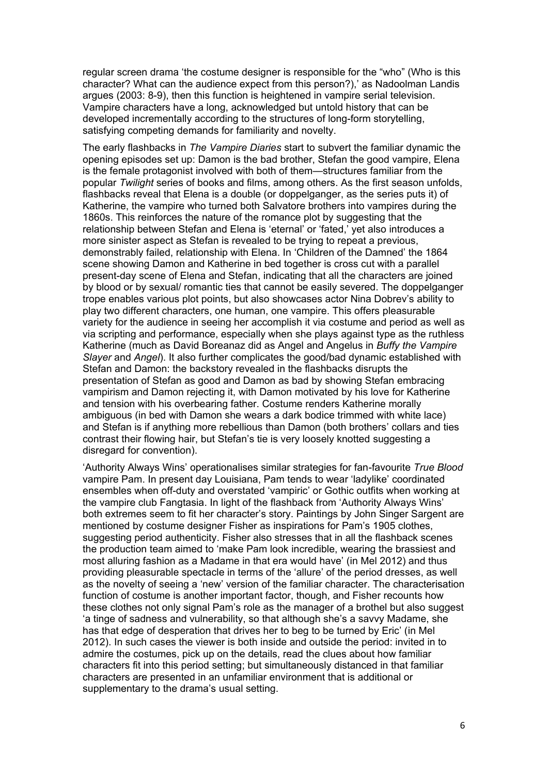regular screen drama 'the costume designer is responsible for the "who" (Who is this character? What can the audience expect from this person?),' as Nadoolman Landis argues (2003: 8-9), then this function is heightened in vampire serial television. Vampire characters have a long, acknowledged but untold history that can be developed incrementally according to the structures of long-form storytelling, satisfying competing demands for familiarity and novelty.

The early flashbacks in *The Vampire Diaries* start to subvert the familiar dynamic the opening episodes set up: Damon is the bad brother, Stefan the good vampire, Elena is the female protagonist involved with both of them—structures familiar from the popular *Twilight* series of books and films, among others. As the first season unfolds, flashbacks reveal that Elena is a double (or doppelganger, as the series puts it) of Katherine, the vampire who turned both Salvatore brothers into vampires during the 1860s. This reinforces the nature of the romance plot by suggesting that the relationship between Stefan and Elena is 'eternal' or 'fated,' yet also introduces a more sinister aspect as Stefan is revealed to be trying to repeat a previous, demonstrably failed, relationship with Elena. In 'Children of the Damned' the 1864 scene showing Damon and Katherine in bed together is cross cut with a parallel present-day scene of Elena and Stefan, indicating that all the characters are joined by blood or by sexual/ romantic ties that cannot be easily severed. The doppelganger trope enables various plot points, but also showcases actor Nina Dobrev's ability to play two different characters, one human, one vampire. This offers pleasurable variety for the audience in seeing her accomplish it via costume and period as well as via scripting and performance, especially when she plays against type as the ruthless Katherine (much as David Boreanaz did as Angel and Angelus in *Buffy the Vampire Slayer* and *Angel*). It also further complicates the good/bad dynamic established with Stefan and Damon: the backstory revealed in the flashbacks disrupts the presentation of Stefan as good and Damon as bad by showing Stefan embracing vampirism and Damon rejecting it, with Damon motivated by his love for Katherine and tension with his overbearing father. Costume renders Katherine morally ambiguous (in bed with Damon she wears a dark bodice trimmed with white lace) and Stefan is if anything more rebellious than Damon (both brothers' collars and ties contrast their flowing hair, but Stefan's tie is very loosely knotted suggesting a disregard for convention).

'Authority Always Wins' operationalises similar strategies for fan-favourite *True Blood* vampire Pam. In present day Louisiana, Pam tends to wear 'ladylike' coordinated ensembles when off-duty and overstated 'vampiric' or Gothic outfits when working at the vampire club Fangtasia. In light of the flashback from 'Authority Always Wins' both extremes seem to fit her character's story. Paintings by John Singer Sargent are mentioned by costume designer Fisher as inspirations for Pam's 1905 clothes, suggesting period authenticity. Fisher also stresses that in all the flashback scenes the production team aimed to 'make Pam look incredible, wearing the brassiest and most alluring fashion as a Madame in that era would have' (in Mel 2012) and thus providing pleasurable spectacle in terms of the 'allure' of the period dresses, as well as the novelty of seeing a 'new' version of the familiar character. The characterisation function of costume is another important factor, though, and Fisher recounts how these clothes not only signal Pam's role as the manager of a brothel but also suggest 'a tinge of sadness and vulnerability, so that although she's a savvy Madame, she has that edge of desperation that drives her to beg to be turned by Eric' (in Mel 2012). In such cases the viewer is both inside and outside the period: invited in to admire the costumes, pick up on the details, read the clues about how familiar characters fit into this period setting; but simultaneously distanced in that familiar characters are presented in an unfamiliar environment that is additional or supplementary to the drama's usual setting.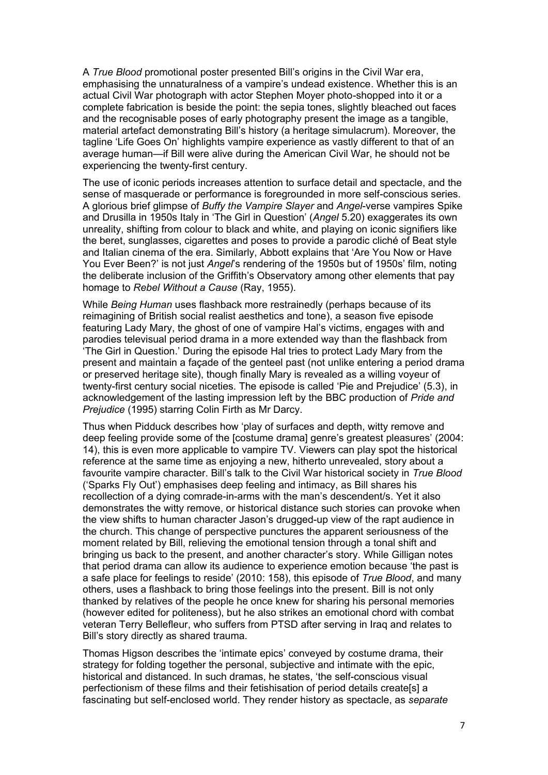A *True Blood* promotional poster presented Bill's origins in the Civil War era, emphasising the unnaturalness of a vampire's undead existence. Whether this is an actual Civil War photograph with actor Stephen Moyer photo-shopped into it or a complete fabrication is beside the point: the sepia tones, slightly bleached out faces and the recognisable poses of early photography present the image as a tangible, material artefact demonstrating Bill's history (a heritage simulacrum). Moreover, the tagline 'Life Goes On' highlights vampire experience as vastly different to that of an average human—if Bill were alive during the American Civil War, he should not be experiencing the twenty-first century.

The use of iconic periods increases attention to surface detail and spectacle, and the sense of masquerade or performance is foregrounded in more self-conscious series. A glorious brief glimpse of *Buffy the Vampire Slayer* and *Angel*-verse vampires Spike and Drusilla in 1950s Italy in 'The Girl in Question' (*Angel* 5.20) exaggerates its own unreality, shifting from colour to black and white, and playing on iconic signifiers like the beret, sunglasses, cigarettes and poses to provide a parodic cliché of Beat style and Italian cinema of the era. Similarly, Abbott explains that 'Are You Now or Have You Ever Been?' is not just *Angel*'s rendering of the 1950s but of 1950s' film, noting the deliberate inclusion of the Griffith's Observatory among other elements that pay homage to *Rebel Without a Cause* (Ray, 1955).

While *Being Human* uses flashback more restrainedly (perhaps because of its reimagining of British social realist aesthetics and tone), a season five episode featuring Lady Mary, the ghost of one of vampire Hal's victims, engages with and parodies televisual period drama in a more extended way than the flashback from 'The Girl in Question.' During the episode Hal tries to protect Lady Mary from the present and maintain a façade of the genteel past (not unlike entering a period drama or preserved heritage site), though finally Mary is revealed as a willing voyeur of twenty-first century social niceties. The episode is called 'Pie and Prejudice' (5.3), in acknowledgement of the lasting impression left by the BBC production of *Pride and Prejudice* (1995) starring Colin Firth as Mr Darcy.

Thus when Pidduck describes how 'play of surfaces and depth, witty remove and deep feeling provide some of the [costume drama] genre's greatest pleasures' (2004: 14), this is even more applicable to vampire TV. Viewers can play spot the historical reference at the same time as enjoying a new, hitherto unrevealed, story about a favourite vampire character. Bill's talk to the Civil War historical society in *True Blood* ('Sparks Fly Out') emphasises deep feeling and intimacy, as Bill shares his recollection of a dying comrade-in-arms with the man's descendent/s. Yet it also demonstrates the witty remove, or historical distance such stories can provoke when the view shifts to human character Jason's drugged-up view of the rapt audience in the church. This change of perspective punctures the apparent seriousness of the moment related by Bill, relieving the emotional tension through a tonal shift and bringing us back to the present, and another character's story. While Gilligan notes that period drama can allow its audience to experience emotion because 'the past is a safe place for feelings to reside' (2010: 158), this episode of *True Blood*, and many others, uses a flashback to bring those feelings into the present. Bill is not only thanked by relatives of the people he once knew for sharing his personal memories (however edited for politeness), but he also strikes an emotional chord with combat veteran Terry Bellefleur, who suffers from PTSD after serving in Iraq and relates to Bill's story directly as shared trauma.

Thomas Higson describes the 'intimate epics' conveyed by costume drama, their strategy for folding together the personal, subjective and intimate with the epic, historical and distanced. In such dramas, he states, 'the self-conscious visual perfectionism of these films and their fetishisation of period details create[s] a fascinating but self-enclosed world. They render history as spectacle, as *separate*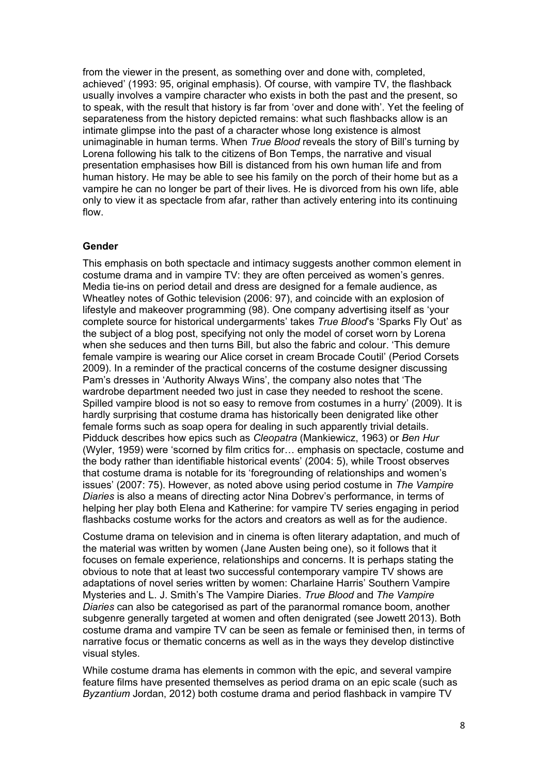from the viewer in the present, as something over and done with, completed, achieved' (1993: 95, original emphasis). Of course, with vampire TV, the flashback usually involves a vampire character who exists in both the past and the present, so to speak, with the result that history is far from 'over and done with'. Yet the feeling of separateness from the history depicted remains: what such flashbacks allow is an intimate glimpse into the past of a character whose long existence is almost unimaginable in human terms. When *True Blood* reveals the story of Bill's turning by Lorena following his talk to the citizens of Bon Temps, the narrative and visual presentation emphasises how Bill is distanced from his own human life and from human history. He may be able to see his family on the porch of their home but as a vampire he can no longer be part of their lives. He is divorced from his own life, able only to view it as spectacle from afar, rather than actively entering into its continuing flow.

#### **Gender**

This emphasis on both spectacle and intimacy suggests another common element in costume drama and in vampire TV: they are often perceived as women's genres. Media tie-ins on period detail and dress are designed for a female audience, as Wheatley notes of Gothic television (2006: 97), and coincide with an explosion of lifestyle and makeover programming (98). One company advertising itself as 'your complete source for historical undergarments' takes *True Blood*'s 'Sparks Fly Out' as the subject of a blog post, specifying not only the model of corset worn by Lorena when she seduces and then turns Bill, but also the fabric and colour. 'This demure female vampire is wearing our Alice corset in cream Brocade Coutil' (Period Corsets 2009). In a reminder of the practical concerns of the costume designer discussing Pam's dresses in 'Authority Always Wins', the company also notes that 'The wardrobe department needed two just in case they needed to reshoot the scene. Spilled vampire blood is not so easy to remove from costumes in a hurry' (2009). It is hardly surprising that costume drama has historically been denigrated like other female forms such as soap opera for dealing in such apparently trivial details. Pidduck describes how epics such as *Cleopatra* (Mankiewicz, 1963) or *Ben Hur* (Wyler, 1959) were 'scorned by film critics for… emphasis on spectacle, costume and the body rather than identifiable historical events' (2004: 5), while Troost observes that costume drama is notable for its 'foregrounding of relationships and women's issues' (2007: 75). However, as noted above using period costume in *The Vampire Diaries* is also a means of directing actor Nina Dobrev's performance, in terms of helping her play both Elena and Katherine: for vampire TV series engaging in period flashbacks costume works for the actors and creators as well as for the audience.

Costume drama on television and in cinema is often literary adaptation, and much of the material was written by women (Jane Austen being one), so it follows that it focuses on female experience, relationships and concerns. It is perhaps stating the obvious to note that at least two successful contemporary vampire TV shows are adaptations of novel series written by women: Charlaine Harris' Southern Vampire Mysteries and L. J. Smith's The Vampire Diaries. *True Blood* and *The Vampire Diaries* can also be categorised as part of the paranormal romance boom, another subgenre generally targeted at women and often denigrated (see Jowett 2013). Both costume drama and vampire TV can be seen as female or feminised then, in terms of narrative focus or thematic concerns as well as in the ways they develop distinctive visual styles.

While costume drama has elements in common with the epic, and several vampire feature films have presented themselves as period drama on an epic scale (such as *Byzantium* Jordan, 2012) both costume drama and period flashback in vampire TV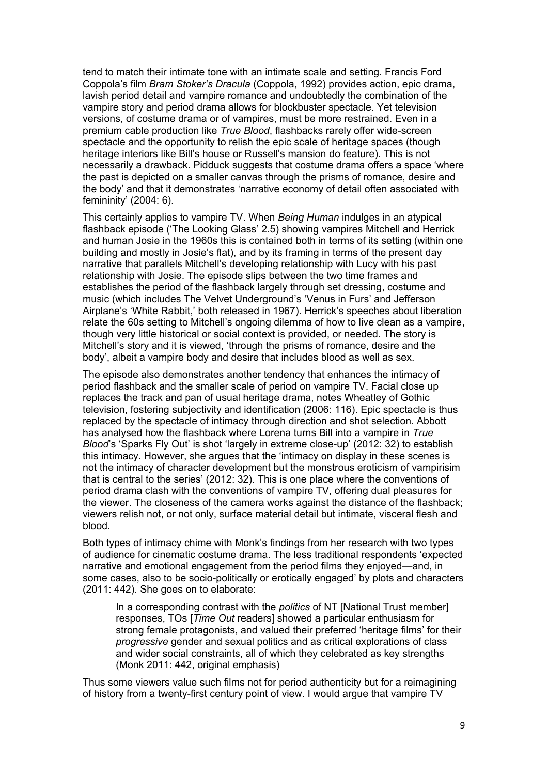tend to match their intimate tone with an intimate scale and setting. Francis Ford Coppola's film *Bram Stoker's Dracula* (Coppola, 1992) provides action, epic drama, lavish period detail and vampire romance and undoubtedly the combination of the vampire story and period drama allows for blockbuster spectacle. Yet television versions, of costume drama or of vampires, must be more restrained. Even in a premium cable production like *True Blood*, flashbacks rarely offer wide-screen spectacle and the opportunity to relish the epic scale of heritage spaces (though heritage interiors like Bill's house or Russell's mansion do feature). This is not necessarily a drawback. Pidduck suggests that costume drama offers a space 'where the past is depicted on a smaller canvas through the prisms of romance, desire and the body' and that it demonstrates 'narrative economy of detail often associated with femininity' (2004: 6).

This certainly applies to vampire TV. When *Being Human* indulges in an atypical flashback episode ('The Looking Glass' 2.5) showing vampires Mitchell and Herrick and human Josie in the 1960s this is contained both in terms of its setting (within one building and mostly in Josie's flat), and by its framing in terms of the present day narrative that parallels Mitchell's developing relationship with Lucy with his past relationship with Josie. The episode slips between the two time frames and establishes the period of the flashback largely through set dressing, costume and music (which includes The Velvet Underground's 'Venus in Furs' and Jefferson Airplane's 'White Rabbit,' both released in 1967). Herrick's speeches about liberation relate the 60s setting to Mitchell's ongoing dilemma of how to live clean as a vampire, though very little historical or social context is provided, or needed. The story is Mitchell's story and it is viewed, 'through the prisms of romance, desire and the body', albeit a vampire body and desire that includes blood as well as sex.

The episode also demonstrates another tendency that enhances the intimacy of period flashback and the smaller scale of period on vampire TV. Facial close up replaces the track and pan of usual heritage drama, notes Wheatley of Gothic television, fostering subjectivity and identification (2006: 116). Epic spectacle is thus replaced by the spectacle of intimacy through direction and shot selection. Abbott has analysed how the flashback where Lorena turns Bill into a vampire in *True Blood*'s 'Sparks Fly Out' is shot 'largely in extreme close-up' (2012: 32) to establish this intimacy. However, she argues that the 'intimacy on display in these scenes is not the intimacy of character development but the monstrous eroticism of vampirisim that is central to the series' (2012: 32). This is one place where the conventions of period drama clash with the conventions of vampire TV, offering dual pleasures for the viewer. The closeness of the camera works against the distance of the flashback; viewers relish not, or not only, surface material detail but intimate, visceral flesh and blood.

Both types of intimacy chime with Monk's findings from her research with two types of audience for cinematic costume drama. The less traditional respondents 'expected narrative and emotional engagement from the period films they enjoyed—and, in some cases, also to be socio-politically or erotically engaged' by plots and characters (2011: 442). She goes on to elaborate:

In a corresponding contrast with the *politics* of NT [National Trust member] responses, TOs [*Time Out* readers] showed a particular enthusiasm for strong female protagonists, and valued their preferred 'heritage films' for their *progressive* gender and sexual politics and as critical explorations of class and wider social constraints, all of which they celebrated as key strengths (Monk 2011: 442, original emphasis)

Thus some viewers value such films not for period authenticity but for a reimagining of history from a twenty-first century point of view. I would argue that vampire TV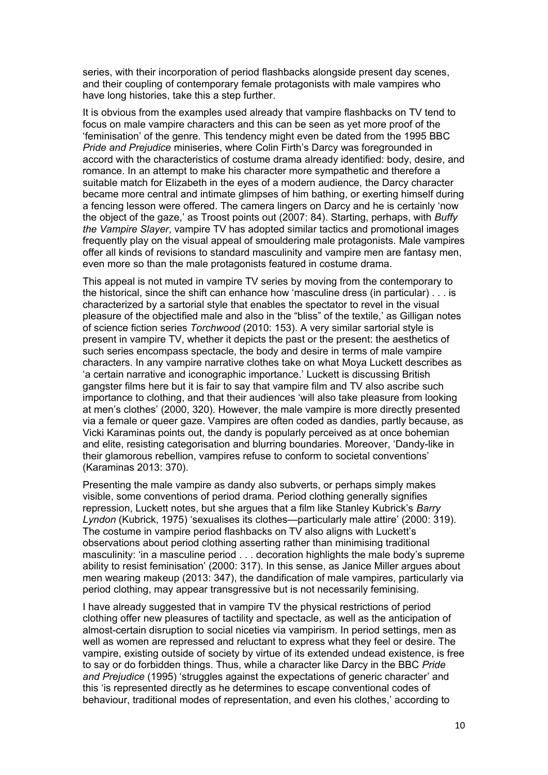series, with their incorporation of period flashbacks alongside present day scenes, and their coupling of contemporary female protagonists with male vampires who have long histories, take this a step further.

It is obvious from the examples used already that vampire flashbacks on TV tend to focus on male vampire characters and this can be seen as yet more proof of the 'feminisation' of the genre. This tendency might even be dated from the 1995 BBC *Pride and Prejudice* miniseries, where Colin Firth's Darcy was foregrounded in accord with the characteristics of costume drama already identified: body, desire, and romance. In an attempt to make his character more sympathetic and therefore a suitable match for Elizabeth in the eyes of a modern audience, the Darcy character became more central and intimate glimpses of him bathing, or exerting himself during a fencing lesson were offered. The camera lingers on Darcy and he is certainly 'now the object of the gaze,' as Troost points out (2007: 84). Starting, perhaps, with *Buffy the Vampire Slayer*, vampire TV has adopted similar tactics and promotional images frequently play on the visual appeal of smouldering male protagonists. Male vampires offer all kinds of revisions to standard masculinity and vampire men are fantasy men, even more so than the male protagonists featured in costume drama.

This appeal is not muted in vampire TV series by moving from the contemporary to the historical, since the shift can enhance how 'masculine dress (in particular) . . . is characterized by a sartorial style that enables the spectator to revel in the visual pleasure of the objectified male and also in the "bliss" of the textile,' as Gilligan notes of science fiction series *Torchwood* (2010: 153). A very similar sartorial style is present in vampire TV, whether it depicts the past or the present: the aesthetics of such series encompass spectacle, the body and desire in terms of male vampire characters. In any vampire narrative clothes take on what Moya Luckett describes as 'a certain narrative and iconographic importance.' Luckett is discussing British gangster films here but it is fair to say that vampire film and TV also ascribe such importance to clothing, and that their audiences 'will also take pleasure from looking at men's clothes' (2000, 320). However, the male vampire is more directly presented via a female or queer gaze. Vampires are often coded as dandies, partly because, as Vicki Karaminas points out, the dandy is popularly perceived as at once bohemian and elite, resisting categorisation and blurring boundaries. Moreover, 'Dandy-like in their glamorous rebellion, vampires refuse to conform to societal conventions' (Karaminas 2013: 370).

Presenting the male vampire as dandy also subverts, or perhaps simply makes visible, some conventions of period drama. Period clothing generally signifies repression, Luckett notes, but she argues that a film like Stanley Kubrick's *Barry Lyndon* (Kubrick, 1975) 'sexualises its clothes—particularly male attire' (2000: 319). The costume in vampire period flashbacks on TV also aligns with Luckett's observations about period clothing asserting rather than minimising traditional masculinity: 'in a masculine period . . . decoration highlights the male body's supreme ability to resist feminisation' (2000: 317). In this sense, as Janice Miller argues about men wearing makeup (2013: 347), the dandification of male vampires, particularly via period clothing, may appear transgressive but is not necessarily feminising.

I have already suggested that in vampire TV the physical restrictions of period clothing offer new pleasures of tactility and spectacle, as well as the anticipation of almost-certain disruption to social niceties via vampirism. In period settings, men as well as women are repressed and reluctant to express what they feel or desire. The vampire, existing outside of society by virtue of its extended undead existence, is free to say or do forbidden things. Thus, while a character like Darcy in the BBC *Pride and Prejudice* (1995) 'struggles against the expectations of generic character' and this 'is represented directly as he determines to escape conventional codes of behaviour, traditional modes of representation, and even his clothes,' according to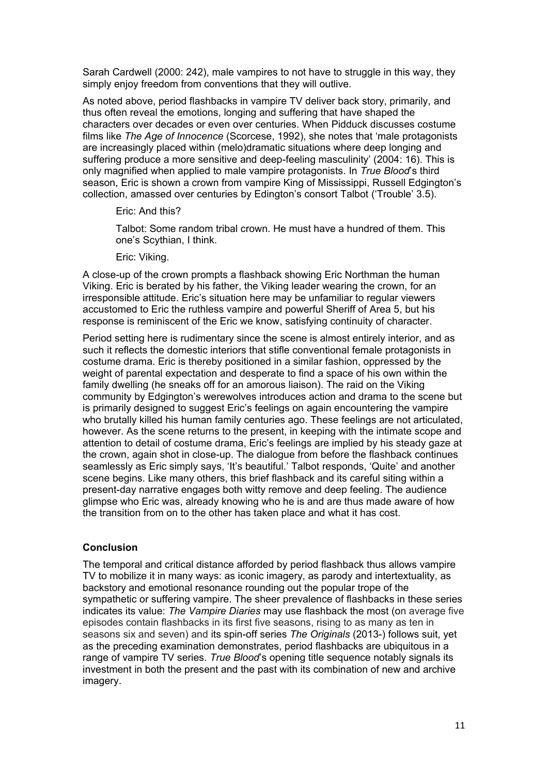Sarah Cardwell (2000: 242), male vampires to not have to struggle in this way, they simply enjoy freedom from conventions that they will outlive.

As noted above, period flashbacks in vampire TV deliver back story, primarily, and thus often reveal the emotions, longing and suffering that have shaped the characters over decades or even over centuries. When Pidduck discusses costume films like *The Age of Innocence* (Scorcese, 1992), she notes that 'male protagonists are increasingly placed within (melo)dramatic situations where deep longing and suffering produce a more sensitive and deep-feeling masculinity' (2004: 16). This is only magnified when applied to male vampire protagonists. In *True Blood*'s third season, Eric is shown a crown from vampire King of Mississippi, Russell Edgington's collection, amassed over centuries by Edington's consort Talbot ('Trouble' 3.5).

Eric: And this?

Talbot: Some random tribal crown. He must have a hundred of them. This one's Scythian, I think.

Eric: Viking.

A close-up of the crown prompts a flashback showing Eric Northman the human Viking. Eric is berated by his father, the Viking leader wearing the crown, for an irresponsible attitude. Eric's situation here may be unfamiliar to regular viewers accustomed to Eric the ruthless vampire and powerful Sheriff of Area 5, but his response is reminiscent of the Eric we know, satisfying continuity of character.

Period setting here is rudimentary since the scene is almost entirely interior, and as such it reflects the domestic interiors that stifle conventional female protagonists in costume drama. Eric is thereby positioned in a similar fashion, oppressed by the weight of parental expectation and desperate to find a space of his own within the family dwelling (he sneaks off for an amorous liaison). The raid on the Viking community by Edgington's werewolves introduces action and drama to the scene but is primarily designed to suggest Eric's feelings on again encountering the vampire who brutally killed his human family centuries ago. These feelings are not articulated, however. As the scene returns to the present, in keeping with the intimate scope and attention to detail of costume drama, Eric's feelings are implied by his steady gaze at the crown, again shot in close-up. The dialogue from before the flashback continues seamlessly as Eric simply says, 'It's beautiful.' Talbot responds, 'Quite' and another scene begins. Like many others, this brief flashback and its careful siting within a present-day narrative engages both witty remove and deep feeling. The audience glimpse who Eric was, already knowing who he is and are thus made aware of how the transition from on to the other has taken place and what it has cost.

# **Conclusion**

The temporal and critical distance afforded by period flashback thus allows vampire TV to mobilize it in many ways: as iconic imagery, as parody and intertextuality, as backstory and emotional resonance rounding out the popular trope of the sympathetic or suffering vampire. The sheer prevalence of flashbacks in these series indicates its value: *The Vampire Diaries* may use flashback the most (on average five episodes contain flashbacks in its first five seasons, rising to as many as ten in seasons six and seven) and its spin-off series *The Originals* (2013-) follows suit, yet as the preceding examination demonstrates, period flashbacks are ubiquitous in a range of vampire TV series. *True Blood*'s opening title sequence notably signals its investment in both the present and the past with its combination of new and archive imagery.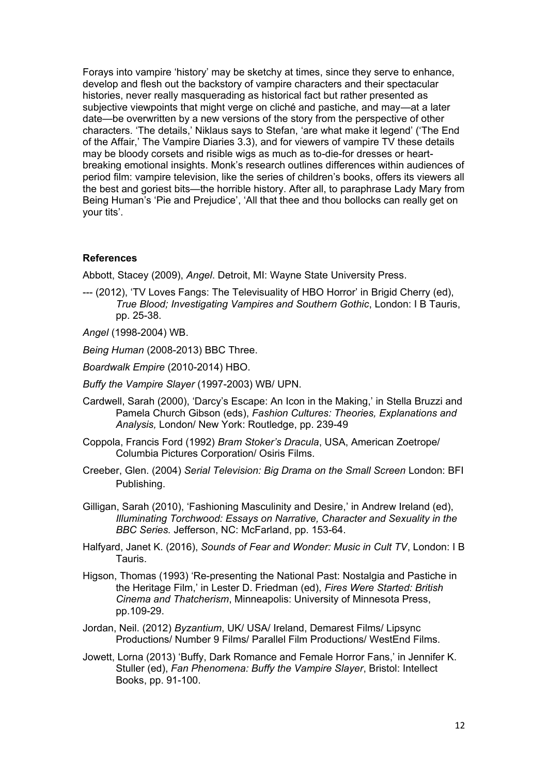Forays into vampire 'history' may be sketchy at times, since they serve to enhance, develop and flesh out the backstory of vampire characters and their spectacular histories, never really masquerading as historical fact but rather presented as subjective viewpoints that might verge on cliché and pastiche, and may—at a later date—be overwritten by a new versions of the story from the perspective of other characters. 'The details,' Niklaus says to Stefan, 'are what make it legend' ('The End of the Affair,' The Vampire Diaries 3.3), and for viewers of vampire TV these details may be bloody corsets and risible wigs as much as to-die-for dresses or heartbreaking emotional insights. Monk's research outlines differences within audiences of period film: vampire television, like the series of children's books, offers its viewers all the best and goriest bits—the horrible history. After all, to paraphrase Lady Mary from Being Human's 'Pie and Prejudice', 'All that thee and thou bollocks can really get on your tits'.

### **References**

Abbott, Stacey (2009), *Angel*. Detroit, MI: Wayne State University Press.

- --- (2012), 'TV Loves Fangs: The Televisuality of HBO Horror' in Brigid Cherry (ed), *True Blood; Investigating Vampires and Southern Gothic*, London: I B Tauris, pp. 25-38.
- *Angel* (1998-2004) WB.

*Being Human* (2008-2013) BBC Three.

*Boardwalk Empire* (2010-2014) HBO.

- *Buffy the Vampire Slayer* (1997-2003) WB/ UPN.
- Cardwell, Sarah (2000), 'Darcy's Escape: An Icon in the Making,' in Stella Bruzzi and Pamela Church Gibson (eds), *Fashion Cultures: Theories, Explanations and Analysis,* London/ New York: Routledge, pp. 239-49
- Coppola, Francis Ford (1992) *Bram Stoker's Dracula*, USA, American Zoetrope/ Columbia Pictures Corporation/ Osiris Films.
- Creeber, Glen. (2004) *Serial Television: Big Drama on the Small Screen* London: BFI Publishing.
- Gilligan, Sarah (2010), 'Fashioning Masculinity and Desire,' in Andrew Ireland (ed), *Illuminating Torchwood: Essays on Narrative, Character and Sexuality in the BBC Series.* Jefferson, NC: McFarland, pp. 153-64.
- Halfyard, Janet K. (2016), *Sounds of Fear and Wonder: Music in Cult TV*, London: I B Tauris.
- Higson, Thomas (1993) 'Re-presenting the National Past: Nostalgia and Pastiche in the Heritage Film,' in Lester D. Friedman (ed), *Fires Were Started: British Cinema and Thatcherism*, Minneapolis: University of Minnesota Press, pp.109-29.
- Jordan, Neil. (2012) *Byzantium*, UK/ USA/ Ireland, Demarest Films/ Lipsync Productions/ Number 9 Films/ Parallel Film Productions/ WestEnd Films.
- Jowett, Lorna (2013) 'Buffy, Dark Romance and Female Horror Fans,' in Jennifer K. Stuller (ed), *Fan Phenomena: Buffy the Vampire Slayer*, Bristol: Intellect Books, pp. 91-100.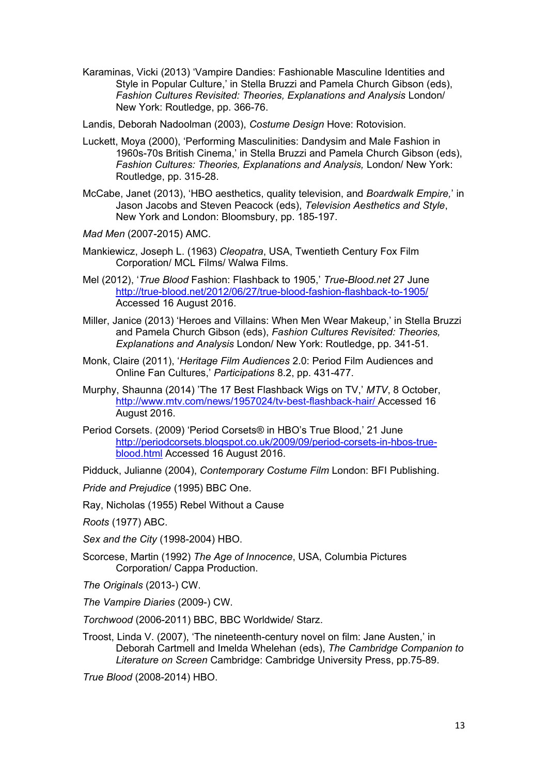Karaminas, Vicki (2013) 'Vampire Dandies: Fashionable Masculine Identities and Style in Popular Culture,' in Stella Bruzzi and Pamela Church Gibson (eds), *Fashion Cultures Revisited: Theories, Explanations and Analysis* London/ New York: Routledge, pp. 366-76.

Landis, Deborah Nadoolman (2003), *Costume Design* Hove: Rotovision.

- Luckett, Moya (2000), 'Performing Masculinities: Dandysim and Male Fashion in 1960s-70s British Cinema,' in Stella Bruzzi and Pamela Church Gibson (eds), *Fashion Cultures: Theories, Explanations and Analysis,* London/ New York: Routledge, pp. 315-28.
- McCabe, Janet (2013), 'HBO aesthetics, quality television, and *Boardwalk Empire,*' in Jason Jacobs and Steven Peacock (eds), *Television Aesthetics and Style*, New York and London: Bloomsbury, pp. 185-197.
- *Mad Men* (2007-2015) AMC.
- Mankiewicz, Joseph L. (1963) *Cleopatra*, USA, Twentieth Century Fox Film Corporation/ MCL Films/ Walwa Films.
- Mel (2012), '*True Blood* Fashion: Flashback to 1905,' *True-Blood.net* 27 June <http://true-blood.net/2012/06/27/true-blood-fashion-flashback-to-1905/> Accessed 16 August 2016.
- Miller, Janice (2013) 'Heroes and Villains: When Men Wear Makeup,' in Stella Bruzzi and Pamela Church Gibson (eds), *Fashion Cultures Revisited: Theories, Explanations and Analysis* London/ New York: Routledge, pp. 341-51.
- Monk, Claire (2011), '*Heritage Film Audiences* 2.0: Period Film Audiences and Online Fan Cultures,' *Participations* 8.2, pp. 431-477.
- Murphy, Shaunna (2014) 'The 17 Best Flashback Wigs on TV,' *MTV*, 8 October, <http://www.mtv.com/news/1957024/tv-best-flashback-hair/> Accessed 16 August 2016.
- Period Corsets. (2009) 'Period Corsets® in HBO's True Blood,' 21 June [http://periodcorsets.blogspot.co.uk/2009/09/period-corsets-in-hbos-true](http://periodcorsets.blogspot.co.uk/2009/09/period-corsets-in-hbos-true-blood.html)[blood.html](http://periodcorsets.blogspot.co.uk/2009/09/period-corsets-in-hbos-true-blood.html) Accessed 16 August 2016.

Pidduck, Julianne (2004), *Contemporary Costume Film* London: BFI Publishing.

*Pride and Prejudice* (1995) BBC One.

Ray, Nicholas (1955) Rebel Without a Cause

*Roots* (1977) ABC.

*Sex and the City* (1998-2004) HBO.

- Scorcese, Martin (1992) *The Age of Innocence*, USA, Columbia Pictures Corporation/ Cappa Production.
- *The Originals* (2013-) CW.
- *The Vampire Diaries* (2009-) CW.
- *Torchwood* (2006-2011) BBC, BBC Worldwide/ Starz.
- Troost, Linda V. (2007), 'The nineteenth-century novel on film: Jane Austen,' in Deborah Cartmell and Imelda Whelehan (eds), *The Cambridge Companion to Literature on Screen* Cambridge: Cambridge University Press, pp.75-89.

*True Blood* (2008-2014) HBO.